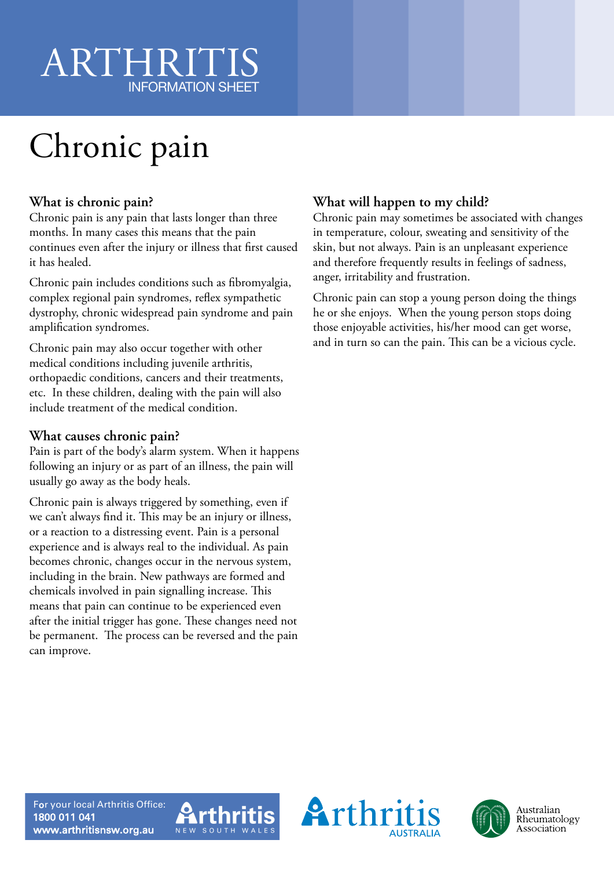# ARTHRIT INFORMATION SHEET

# Chronic pain

#### **What is chronic pain?**

Chronic pain is any pain that lasts longer than three months. In many cases this means that the pain continues even after the injury or illness that first caused it has healed.

Chronic pain includes conditions such as fibromyalgia, complex regional pain syndromes, reflex sympathetic dystrophy, chronic widespread pain syndrome and pain amplification syndromes.

Chronic pain may also occur together with other medical conditions including juvenile arthritis, orthopaedic conditions, cancers and their treatments, etc. In these children, dealing with the pain will also include treatment of the medical condition.

#### **What causes chronic pain?**

Pain is part of the body's alarm system. When it happens following an injury or as part of an illness, the pain will usually go away as the body heals.

Chronic pain is always triggered by something, even if we can't always find it. This may be an injury or illness, or a reaction to a distressing event. Pain is a personal experience and is always real to the individual. As pain becomes chronic, changes occur in the nervous system, including in the brain. New pathways are formed and chemicals involved in pain signalling increase. This means that pain can continue to be experienced even after the initial trigger has gone. These changes need not be permanent. The process can be reversed and the pain can improve.

### **What will happen to my child?**

Chronic pain may sometimes be associated with changes in temperature, colour, sweating and sensitivity of the skin, but not always. Pain is an unpleasant experience and therefore frequently results in feelings of sadness, anger, irritability and frustration.

Chronic pain can stop a young person doing the things he or she enjoys. When the young person stops doing those enjoyable activities, his/her mood can get worse, and in turn so can the pain. This can be a vicious cycle.